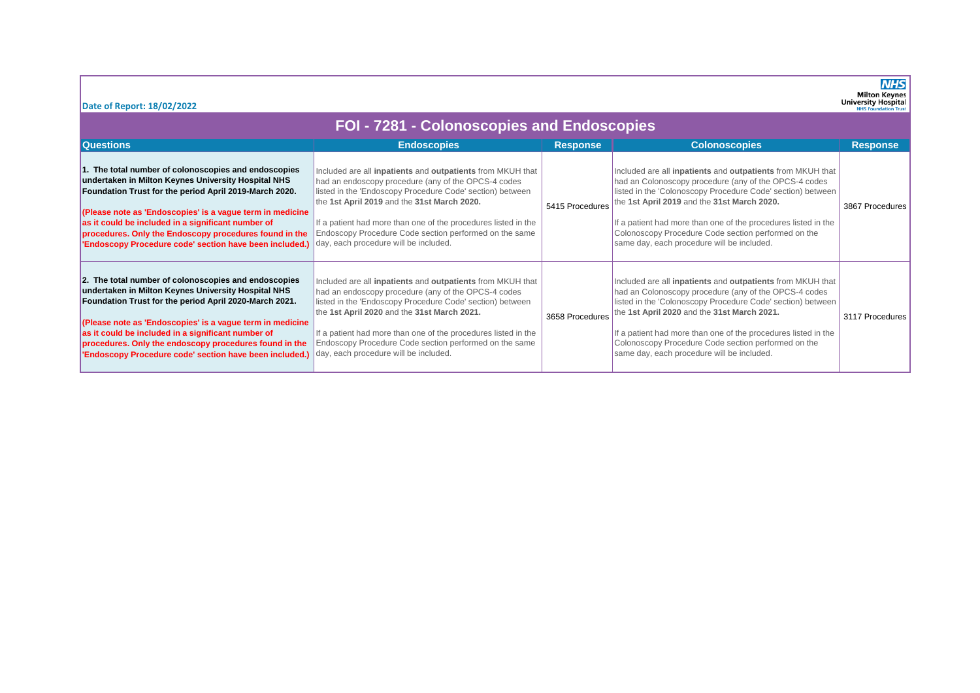| Date of Report: 18/02/2022                                                                                                                                                                                                                                                                                                                                                                                    |                                                                                                                                                                                                                                                                                                                                                                                                    |                 | <b>NHS</b><br><b>Milton Keynes</b><br><b>University Hospital</b><br><b>HS Foundation Trust</b>                                                                                                                                                                                                                                                                                                           |                 |
|---------------------------------------------------------------------------------------------------------------------------------------------------------------------------------------------------------------------------------------------------------------------------------------------------------------------------------------------------------------------------------------------------------------|----------------------------------------------------------------------------------------------------------------------------------------------------------------------------------------------------------------------------------------------------------------------------------------------------------------------------------------------------------------------------------------------------|-----------------|----------------------------------------------------------------------------------------------------------------------------------------------------------------------------------------------------------------------------------------------------------------------------------------------------------------------------------------------------------------------------------------------------------|-----------------|
| FOI - 7281 - Colonoscopies and Endoscopies                                                                                                                                                                                                                                                                                                                                                                    |                                                                                                                                                                                                                                                                                                                                                                                                    |                 |                                                                                                                                                                                                                                                                                                                                                                                                          |                 |
| <b>Questions</b>                                                                                                                                                                                                                                                                                                                                                                                              | <b>Endoscopies</b>                                                                                                                                                                                                                                                                                                                                                                                 | <b>Response</b> | <b>Colonoscopies</b>                                                                                                                                                                                                                                                                                                                                                                                     | <b>Response</b> |
| 1. The total number of colonoscopies and endoscopies<br>undertaken in Milton Keynes University Hospital NHS<br>Foundation Trust for the period April 2019-March 2020.<br>(Please note as 'Endoscopies' is a vague term in medicine<br>as it could be included in a significant number of<br>procedures. Only the Endoscopy procedures found in the<br>'Endoscopy Procedure code' section have been included.) | Included are all inpatients and outpatients from MKUH that<br>had an endoscopy procedure (any of the OPCS-4 codes<br>listed in the 'Endoscopy Procedure Code' section) between<br>the 1st April 2019 and the 31st March 2020.<br>If a patient had more than one of the procedures listed in the<br>Endoscopy Procedure Code section performed on the same<br>day, each procedure will be included. | 5415 Procedures | Included are all inpatients and outpatients from MKUH that<br>had an Colonoscopy procedure (any of the OPCS-4 codes<br>listed in the 'Colonoscopy Procedure Code' section) between<br>the 1st April 2019 and the 31st March 2020.<br>If a patient had more than one of the procedures listed in the<br>Colonoscopy Procedure Code section performed on the<br>same day, each procedure will be included. | 3867 Procedures |
| 2. The total number of colonoscopies and endoscopies<br>undertaken in Milton Keynes University Hospital NHS<br>Foundation Trust for the period April 2020-March 2021.<br>(Please note as 'Endoscopies' is a vague term in medicine<br>as it could be included in a significant number of<br>procedures. Only the endoscopy procedures found in the<br>'Endoscopy Procedure code' section have been included.) | Included are all inpatients and outpatients from MKUH that<br>had an endoscopy procedure (any of the OPCS-4 codes<br>listed in the 'Endoscopy Procedure Code' section) between<br>the 1st April 2020 and the 31st March 2021.<br>If a patient had more than one of the procedures listed in the<br>Endoscopy Procedure Code section performed on the same<br>day, each procedure will be included. | 3658 Procedures | Included are all inpatients and outpatients from MKUH that<br>had an Colonoscopy procedure (any of the OPCS-4 codes<br>listed in the 'Colonoscopy Procedure Code' section) between<br>the 1st April 2020 and the 31st March 2021.<br>If a patient had more than one of the procedures listed in the<br>Colonoscopy Procedure Code section performed on the<br>same day, each procedure will be included. | 3117 Procedures |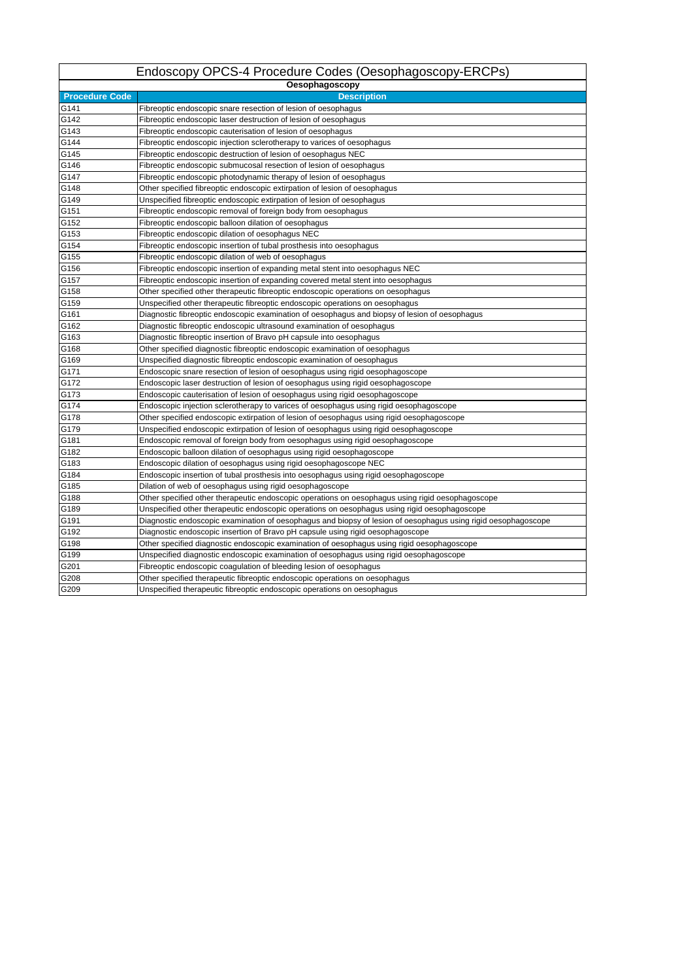| Endoscopy OPCS-4 Procedure Codes (Oesophagoscopy-ERCPs) |                                                                                                               |  |
|---------------------------------------------------------|---------------------------------------------------------------------------------------------------------------|--|
| Oesophagoscopy                                          |                                                                                                               |  |
| <b>Procedure Code</b>                                   | <b>Description</b>                                                                                            |  |
| G141                                                    | Fibreoptic endoscopic snare resection of lesion of oesophagus                                                 |  |
| G142                                                    | Fibreoptic endoscopic laser destruction of lesion of oesophagus                                               |  |
| G143                                                    | Fibreoptic endoscopic cauterisation of lesion of oesophagus                                                   |  |
| G144                                                    | Fibreoptic endoscopic injection sclerotherapy to varices of oesophagus                                        |  |
| G145                                                    | Fibreoptic endoscopic destruction of lesion of oesophagus NEC                                                 |  |
| G146                                                    | Fibreoptic endoscopic submucosal resection of lesion of oesophagus                                            |  |
| G147                                                    | Fibreoptic endoscopic photodynamic therapy of lesion of oesophagus                                            |  |
| G148                                                    | Other specified fibreoptic endoscopic extirpation of lesion of oesophagus                                     |  |
| G149                                                    | Unspecified fibreoptic endoscopic extirpation of lesion of oesophagus                                         |  |
| G151                                                    | Fibreoptic endoscopic removal of foreign body from oesophagus                                                 |  |
| G152                                                    | Fibreoptic endoscopic balloon dilation of oesophagus                                                          |  |
| G153                                                    | Fibreoptic endoscopic dilation of oesophagus NEC                                                              |  |
| G154                                                    | Fibreoptic endoscopic insertion of tubal prosthesis into oesophagus                                           |  |
| G155                                                    | Fibreoptic endoscopic dilation of web of oesophagus                                                           |  |
| G156                                                    | Fibreoptic endoscopic insertion of expanding metal stent into oesophagus NEC                                  |  |
| G157                                                    | Fibreoptic endoscopic insertion of expanding covered metal stent into oesophagus                              |  |
| G158                                                    | Other specified other therapeutic fibreoptic endoscopic operations on oesophagus                              |  |
| G159                                                    | Unspecified other therapeutic fibreoptic endoscopic operations on oesophagus                                  |  |
| G161                                                    | Diagnostic fibreoptic endoscopic examination of oesophagus and biopsy of lesion of oesophagus                 |  |
| G162                                                    | Diagnostic fibreoptic endoscopic ultrasound examination of oesophagus                                         |  |
| G163                                                    | Diagnostic fibreoptic insertion of Bravo pH capsule into oesophagus                                           |  |
| G168                                                    | Other specified diagnostic fibreoptic endoscopic examination of oesophagus                                    |  |
| G169                                                    | Unspecified diagnostic fibreoptic endoscopic examination of oesophagus                                        |  |
| G171                                                    | Endoscopic snare resection of lesion of oesophagus using rigid oesophagoscope                                 |  |
| G172                                                    | Endoscopic laser destruction of lesion of oesophagus using rigid oesophagoscope                               |  |
| G173                                                    | Endoscopic cauterisation of lesion of oesophagus using rigid oesophagoscope                                   |  |
| G174                                                    | Endoscopic injection sclerotherapy to varices of oesophagus using rigid oesophagoscope                        |  |
| G178                                                    | Other specified endoscopic extirpation of lesion of oesophagus using rigid oesophagoscope                     |  |
| G179                                                    | Unspecified endoscopic extirpation of lesion of oesophagus using rigid oesophagoscope                         |  |
| G181                                                    | Endoscopic removal of foreign body from oesophagus using rigid oesophagoscope                                 |  |
| G182                                                    | Endoscopic balloon dilation of oesophagus using rigid oesophagoscope                                          |  |
| G183                                                    | Endoscopic dilation of oesophagus using rigid oesophagoscope NEC                                              |  |
| G184                                                    | Endoscopic insertion of tubal prosthesis into oesophagus using rigid oesophagoscope                           |  |
| G185                                                    | Dilation of web of oesophagus using rigid oesophagoscope                                                      |  |
| G188                                                    | Other specified other therapeutic endoscopic operations on oesophagus using rigid oesophagoscope              |  |
| G189                                                    | Unspecified other therapeutic endoscopic operations on oesophagus using rigid oesophagoscope                  |  |
| G191                                                    | Diagnostic endoscopic examination of oesophagus and biopsy of lesion of oesophagus using rigid oesophagoscope |  |
| G192                                                    | Diagnostic endoscopic insertion of Bravo pH capsule using rigid oesophagoscope                                |  |
| G198                                                    | Other specified diagnostic endoscopic examination of oesophagus using rigid oesophagoscope                    |  |
| G199                                                    | Unspecified diagnostic endoscopic examination of oesophagus using rigid oesophagoscope                        |  |
| G201                                                    | Fibreoptic endoscopic coagulation of bleeding lesion of oesophagus                                            |  |
| G208                                                    | Other specified therapeutic fibreoptic endoscopic operations on oesophagus                                    |  |
| G209                                                    | Unspecified therapeutic fibreoptic endoscopic operations on oesophagus                                        |  |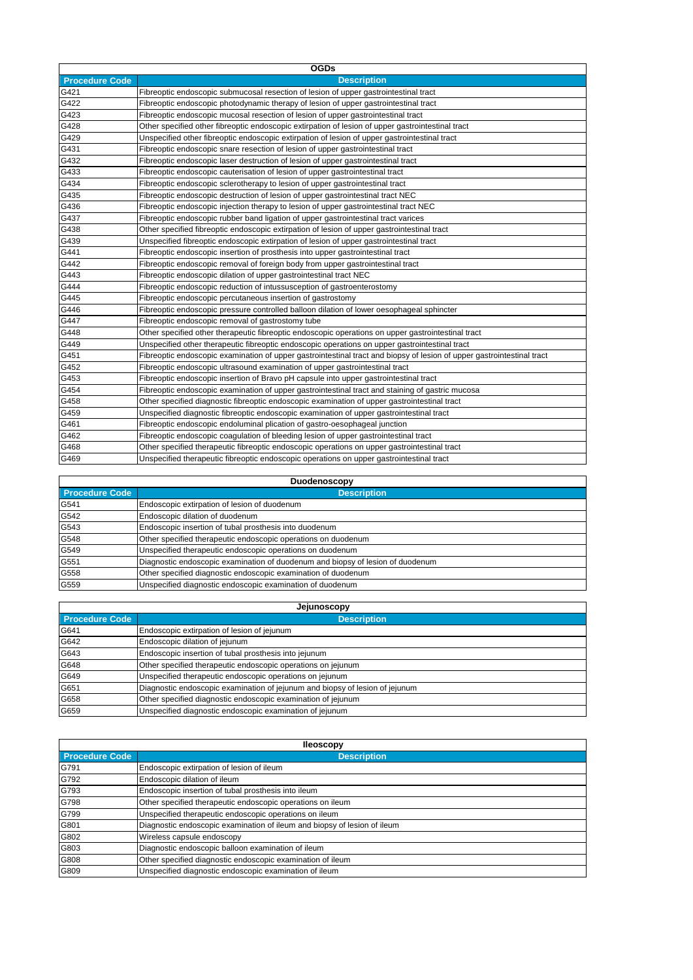| <b>OGDs</b>           |                                                                                                                        |  |
|-----------------------|------------------------------------------------------------------------------------------------------------------------|--|
| <b>Procedure Code</b> | <b>Description</b>                                                                                                     |  |
| G421                  | Fibreoptic endoscopic submucosal resection of lesion of upper gastrointestinal tract                                   |  |
| G422                  | Fibreoptic endoscopic photodynamic therapy of lesion of upper gastrointestinal tract                                   |  |
| G423                  | Fibreoptic endoscopic mucosal resection of lesion of upper gastrointestinal tract                                      |  |
| G428                  | Other specified other fibreoptic endoscopic extirpation of lesion of upper gastrointestinal tract                      |  |
| G429                  | Unspecified other fibreoptic endoscopic extirpation of lesion of upper gastrointestinal tract                          |  |
| G431                  | Fibreoptic endoscopic snare resection of lesion of upper gastrointestinal tract                                        |  |
| G432                  | Fibreoptic endoscopic laser destruction of lesion of upper gastrointestinal tract                                      |  |
| G433                  | Fibreoptic endoscopic cauterisation of lesion of upper gastrointestinal tract                                          |  |
| G434                  | Fibreoptic endoscopic sclerotherapy to lesion of upper gastrointestinal tract                                          |  |
| G435                  | Fibreoptic endoscopic destruction of lesion of upper gastrointestinal tract NEC                                        |  |
| G436                  | Fibreoptic endoscopic injection therapy to lesion of upper gastrointestinal tract NEC                                  |  |
| G437                  | Fibreoptic endoscopic rubber band ligation of upper gastrointestinal tract varices                                     |  |
| G438                  | Other specified fibreoptic endoscopic extirpation of lesion of upper gastrointestinal tract                            |  |
| G439                  | Unspecified fibreoptic endoscopic extirpation of lesion of upper gastrointestinal tract                                |  |
| G441                  | Fibreoptic endoscopic insertion of prosthesis into upper gastrointestinal tract                                        |  |
| G442                  | Fibreoptic endoscopic removal of foreign body from upper gastrointestinal tract                                        |  |
| G443                  | Fibreoptic endoscopic dilation of upper gastrointestinal tract NEC                                                     |  |
| G444                  | Fibreoptic endoscopic reduction of intussusception of gastroenterostomy                                                |  |
| G445                  | Fibreoptic endoscopic percutaneous insertion of gastrostomy                                                            |  |
| G446                  | Fibreoptic endoscopic pressure controlled balloon dilation of lower oesophageal sphincter                              |  |
| G447                  | Fibreoptic endoscopic removal of gastrostomy tube                                                                      |  |
| G448                  | Other specified other therapeutic fibreoptic endoscopic operations on upper gastrointestinal tract                     |  |
| G449                  | Unspecified other therapeutic fibreoptic endoscopic operations on upper gastrointestinal tract                         |  |
| G451                  | Fibreoptic endoscopic examination of upper gastrointestinal tract and biopsy of lesion of upper gastrointestinal tract |  |
| G452                  | Fibreoptic endoscopic ultrasound examination of upper gastrointestinal tract                                           |  |
| G453                  | Fibreoptic endoscopic insertion of Bravo pH capsule into upper gastrointestinal tract                                  |  |
| G454                  | Fibreoptic endoscopic examination of upper gastrointestinal tract and staining of gastric mucosa                       |  |
| G458                  | Other specified diagnostic fibreoptic endoscopic examination of upper gastrointestinal tract                           |  |
| G459                  | Unspecified diagnostic fibreoptic endoscopic examination of upper gastrointestinal tract                               |  |
| G461                  | Fibreoptic endoscopic endoluminal plication of gastro-oesophageal junction                                             |  |
| G462                  | Fibreoptic endoscopic coagulation of bleeding lesion of upper gastrointestinal tract                                   |  |
| G468                  | Other specified therapeutic fibreoptic endoscopic operations on upper gastrointestinal tract                           |  |
| G469                  | Unspecified therapeutic fibreoptic endoscopic operations on upper gastrointestinal tract                               |  |

| Duodenoscopy          |                                                                                |  |
|-----------------------|--------------------------------------------------------------------------------|--|
| <b>Procedure Code</b> | <b>Description</b>                                                             |  |
| G541                  | Endoscopic extirpation of lesion of duodenum                                   |  |
| G542                  | Endoscopic dilation of duodenum                                                |  |
| G543                  | Endoscopic insertion of tubal prosthesis into duodenum                         |  |
| G548                  | Other specified therapeutic endoscopic operations on duodenum                  |  |
| G549                  | Unspecified therapeutic endoscopic operations on duodenum                      |  |
| G551                  | Diagnostic endoscopic examination of duodenum and biopsy of lesion of duodenum |  |
| G558                  | Other specified diagnostic endoscopic examination of duodenum                  |  |
| G559                  | Unspecified diagnostic endoscopic examination of duodenum                      |  |

| Jejunoscopy           |                                                                              |  |
|-----------------------|------------------------------------------------------------------------------|--|
| <b>Procedure Code</b> | <b>Description</b>                                                           |  |
| G641                  | Endoscopic extirpation of lesion of jejunum                                  |  |
| G642                  | Endoscopic dilation of jejunum                                               |  |
| G643                  | Endoscopic insertion of tubal prosthesis into jejunum                        |  |
| G648                  | Other specified therapeutic endoscopic operations on jejunum                 |  |
| G649                  | Unspecified therapeutic endoscopic operations on jejunum                     |  |
| G651                  | Diagnostic endoscopic examination of jejunum and biopsy of lesion of jejunum |  |
| G658                  | Other specified diagnostic endoscopic examination of jejunum                 |  |
| G659                  | Unspecified diagnostic endoscopic examination of jejunum                     |  |

| lleoscopy             |                                                                          |  |
|-----------------------|--------------------------------------------------------------------------|--|
| <b>Procedure Code</b> | <b>Description</b>                                                       |  |
| G791                  | Endoscopic extirpation of lesion of ileum                                |  |
| G792                  | Endoscopic dilation of ileum                                             |  |
| G793                  | Endoscopic insertion of tubal prosthesis into ileum                      |  |
| G798                  | Other specified therapeutic endoscopic operations on ileum               |  |
| G799                  | Unspecified therapeutic endoscopic operations on ileum                   |  |
| G801                  | Diagnostic endoscopic examination of ileum and biopsy of lesion of ileum |  |
| G802                  | Wireless capsule endoscopy                                               |  |
| G803                  | Diagnostic endoscopic balloon examination of ileum                       |  |
| G808                  | Other specified diagnostic endoscopic examination of ileum               |  |
| G809                  | Unspecified diagnostic endoscopic examination of ileum                   |  |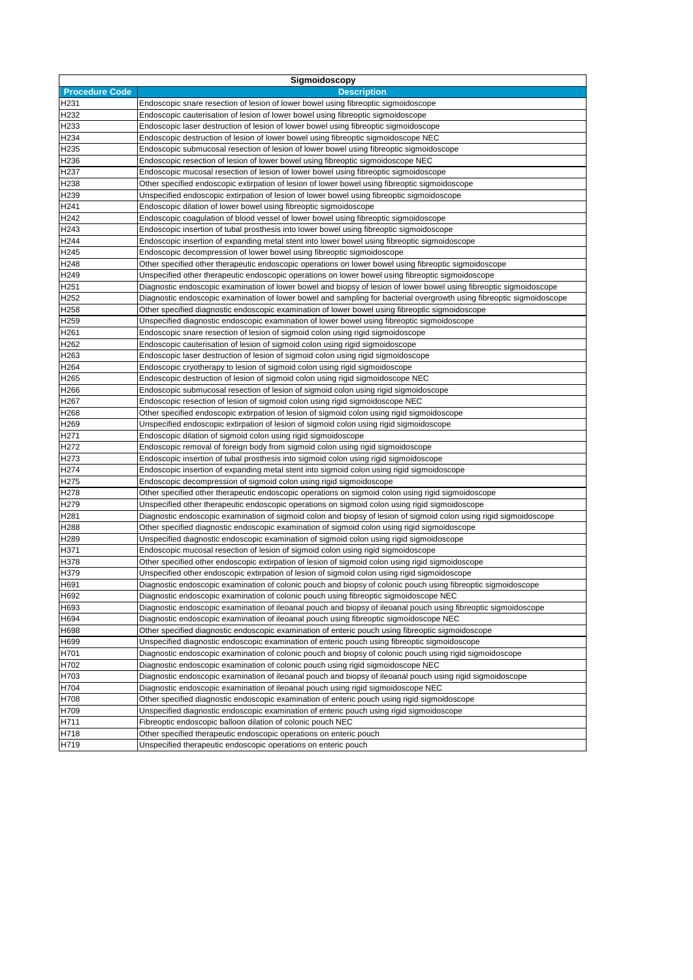| Sigmoidoscopy         |                                                                                                                       |  |
|-----------------------|-----------------------------------------------------------------------------------------------------------------------|--|
| <b>Procedure Code</b> | <b>Description</b>                                                                                                    |  |
| H <sub>231</sub>      | Endoscopic snare resection of lesion of lower bowel using fibreoptic sigmoidoscope                                    |  |
| H <sub>232</sub>      | Endoscopic cauterisation of lesion of lower bowel using fibreoptic sigmoidoscope                                      |  |
| H <sub>233</sub>      | Endoscopic laser destruction of lesion of lower bowel using fibreoptic sigmoidoscope                                  |  |
| H <sub>234</sub>      | Endoscopic destruction of lesion of lower bowel using fibreoptic sigmoidoscope NEC                                    |  |
| H <sub>235</sub>      | Endoscopic submucosal resection of lesion of lower bowel using fibreoptic sigmoidoscope                               |  |
| H236                  | Endoscopic resection of lesion of lower bowel using fibreoptic sigmoidoscope NEC                                      |  |
| H237                  | Endoscopic mucosal resection of lesion of lower bowel using fibreoptic sigmoidoscope                                  |  |
| H <sub>238</sub>      | Other specified endoscopic extirpation of lesion of lower bowel using fibreoptic sigmoidoscope                        |  |
| H <sub>239</sub>      | Unspecified endoscopic extirpation of lesion of lower bowel using fibreoptic sigmoidoscope                            |  |
| H241                  | Endoscopic dilation of lower bowel using fibreoptic sigmoidoscope                                                     |  |
| H242                  | Endoscopic coagulation of blood vessel of lower bowel using fibreoptic sigmoidoscope                                  |  |
| H <sub>243</sub>      | Endoscopic insertion of tubal prosthesis into lower bowel using fibreoptic sigmoidoscope                              |  |
| H244                  | Endoscopic insertion of expanding metal stent into lower bowel using fibreoptic sigmoidoscope                         |  |
| H <sub>245</sub>      | Endoscopic decompression of lower bowel using fibreoptic sigmoidoscope                                                |  |
| H <sub>248</sub>      | Other specified other therapeutic endoscopic operations on lower bowel using fibreoptic sigmoidoscope                 |  |
| H <sub>249</sub>      | Unspecified other therapeutic endoscopic operations on lower bowel using fibreoptic sigmoidoscope                     |  |
| H <sub>251</sub>      | Diagnostic endoscopic examination of lower bowel and biopsy of lesion of lower bowel using fibreoptic sigmoidoscope   |  |
| H252                  | Diagnostic endoscopic examination of lower bowel and sampling for bacterial overgrowth using fibreoptic sigmoidoscope |  |
| H <sub>258</sub>      | Other specified diagnostic endoscopic examination of lower bowel using fibreoptic sigmoidoscope                       |  |
| H259                  | Unspecified diagnostic endoscopic examination of lower bowel using fibreoptic sigmoidoscope                           |  |
| H261                  | Endoscopic snare resection of lesion of sigmoid colon using rigid sigmoidoscope                                       |  |
| H262                  | Endoscopic cauterisation of lesion of sigmoid colon using rigid sigmoidoscope                                         |  |
| H <sub>263</sub>      | Endoscopic laser destruction of lesion of sigmoid colon using rigid sigmoidoscope                                     |  |
| H264                  | Endoscopic cryotherapy to lesion of sigmoid colon using rigid sigmoidoscope                                           |  |
| H <sub>265</sub>      | Endoscopic destruction of lesion of sigmoid colon using rigid sigmoidoscope NEC                                       |  |
| H266                  | Endoscopic submucosal resection of lesion of sigmoid colon using rigid sigmoidoscope                                  |  |
| H267                  | Endoscopic resection of lesion of sigmoid colon using rigid sigmoidoscope NEC                                         |  |
| H268                  | Other specified endoscopic extirpation of lesion of sigmoid colon using rigid sigmoidoscope                           |  |
| H <sub>269</sub>      | Unspecified endoscopic extirpation of lesion of sigmoid colon using rigid sigmoidoscope                               |  |
| H <sub>271</sub>      | Endoscopic dilation of sigmoid colon using rigid sigmoidoscope                                                        |  |
| H272                  | Endoscopic removal of foreign body from sigmoid colon using rigid sigmoidoscope                                       |  |
| H <sub>2</sub> 73     | Endoscopic insertion of tubal prosthesis into sigmoid colon using rigid sigmoidoscope                                 |  |
| H <sub>274</sub>      | Endoscopic insertion of expanding metal stent into sigmoid colon using rigid sigmoidoscope                            |  |
| H <sub>275</sub>      | Endoscopic decompression of sigmoid colon using rigid sigmoidoscope                                                   |  |
| H278                  | Other specified other therapeutic endoscopic operations on sigmoid colon using rigid sigmoidoscope                    |  |
| H <sub>279</sub>      | Unspecified other therapeutic endoscopic operations on sigmoid colon using rigid sigmoidoscope                        |  |
| H <sub>2</sub> 81     | Diagnostic endoscopic examination of sigmoid colon and biopsy of lesion of sigmoid colon using rigid sigmoidoscope    |  |
| H288                  | Other specified diagnostic endoscopic examination of sigmoid colon using rigid sigmoidoscope                          |  |
| H <sub>289</sub>      | Unspecified diagnostic endoscopic examination of sigmoid colon using rigid sigmoidoscope                              |  |
| H371                  | Endoscopic mucosal resection of lesion of sigmoid colon using rigid sigmoidoscope                                     |  |
| H378                  | Other specified other endoscopic extirpation of lesion of sigmoid colon using rigid sigmoidoscope                     |  |
| H379                  | Unspecified other endoscopic extirpation of lesion of sigmoid colon using rigid sigmoidoscope                         |  |
| H691                  | Diagnostic endoscopic examination of colonic pouch and biopsy of colonic pouch using fibreoptic sigmoidoscope         |  |
| H692                  | Diagnostic endoscopic examination of colonic pouch using fibreoptic sigmoidoscope NEC                                 |  |
| H693                  | Diagnostic endoscopic examination of ileoanal pouch and biopsy of ileoanal pouch using fibreoptic sigmoidoscope       |  |
| H694                  | Diagnostic endoscopic examination of ileoanal pouch using fibreoptic sigmoidoscope NEC                                |  |
| H698                  | Other specified diagnostic endoscopic examination of enteric pouch using fibreoptic sigmoidoscope                     |  |
| H699                  | Unspecified diagnostic endoscopic examination of enteric pouch using fibreoptic sigmoidoscope                         |  |
| H701                  | Diagnostic endoscopic examination of colonic pouch and biopsy of colonic pouch using rigid sigmoidoscope              |  |
| H702                  | Diagnostic endoscopic examination of colonic pouch using rigid sigmoidoscope NEC                                      |  |
| H703                  | Diagnostic endoscopic examination of ileoanal pouch and biopsy of ileoanal pouch using rigid sigmoidoscope            |  |
| H704                  | Diagnostic endoscopic examination of ileoanal pouch using rigid sigmoidoscope NEC                                     |  |
| H708                  | Other specified diagnostic endoscopic examination of enteric pouch using rigid sigmoidoscope                          |  |
| H709                  | Unspecified diagnostic endoscopic examination of enteric pouch using rigid sigmoidoscope                              |  |
| H711                  | Fibreoptic endoscopic balloon dilation of colonic pouch NEC                                                           |  |
| H718                  | Other specified therapeutic endoscopic operations on enteric pouch                                                    |  |
| H719                  | Unspecified therapeutic endoscopic operations on enteric pouch                                                        |  |
|                       |                                                                                                                       |  |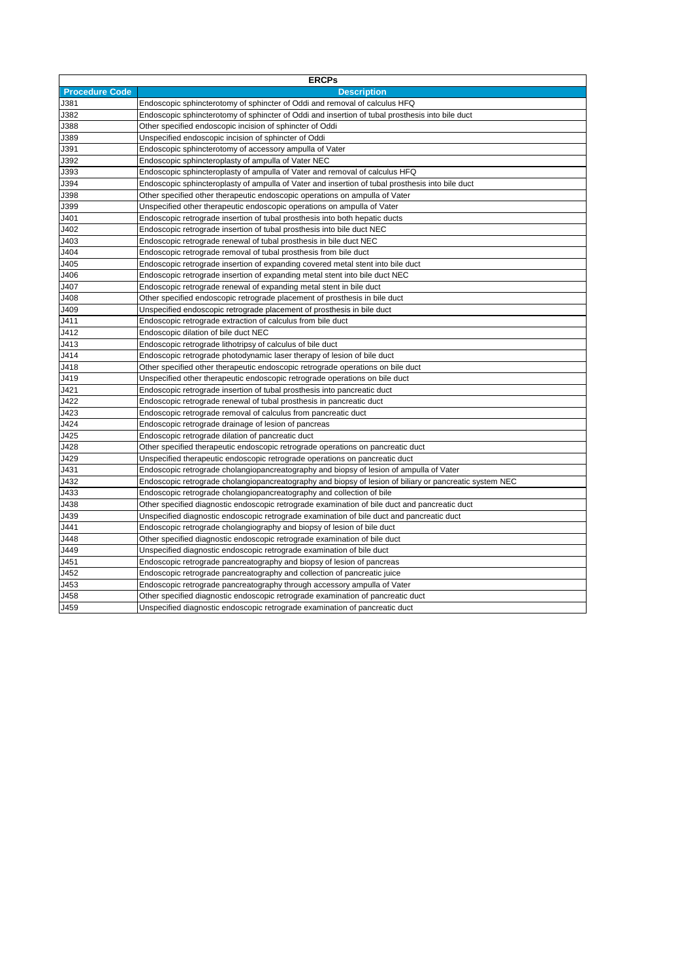| <b>ERCPs</b>          |                                                                                                         |  |
|-----------------------|---------------------------------------------------------------------------------------------------------|--|
| <b>Procedure Code</b> | <b>Description</b>                                                                                      |  |
| J381                  | Endoscopic sphincterotomy of sphincter of Oddi and removal of calculus HFQ                              |  |
| J382                  | Endoscopic sphincterotomy of sphincter of Oddi and insertion of tubal prosthesis into bile duct         |  |
| J388                  | Other specified endoscopic incision of sphincter of Oddi                                                |  |
| J389                  | Unspecified endoscopic incision of sphincter of Oddi                                                    |  |
| J391                  | Endoscopic sphincterotomy of accessory ampulla of Vater                                                 |  |
| J392                  | Endoscopic sphincteroplasty of ampulla of Vater NEC                                                     |  |
| J393                  | Endoscopic sphincteroplasty of ampulla of Vater and removal of calculus HFQ                             |  |
| J394                  | Endoscopic sphincteroplasty of ampulla of Vater and insertion of tubal prosthesis into bile duct        |  |
| J398                  | Other specified other therapeutic endoscopic operations on ampulla of Vater                             |  |
| J399                  | Unspecified other therapeutic endoscopic operations on ampulla of Vater                                 |  |
| J401                  | Endoscopic retrograde insertion of tubal prosthesis into both hepatic ducts                             |  |
| J402                  | Endoscopic retrograde insertion of tubal prosthesis into bile duct NEC                                  |  |
| J403                  | Endoscopic retrograde renewal of tubal prosthesis in bile duct NEC                                      |  |
| J404                  | Endoscopic retrograde removal of tubal prosthesis from bile duct                                        |  |
| J405                  | Endoscopic retrograde insertion of expanding covered metal stent into bile duct                         |  |
| J406                  | Endoscopic retrograde insertion of expanding metal stent into bile duct NEC                             |  |
| J407                  | Endoscopic retrograde renewal of expanding metal stent in bile duct                                     |  |
| J408                  | Other specified endoscopic retrograde placement of prosthesis in bile duct                              |  |
| J409                  | Unspecified endoscopic retrograde placement of prosthesis in bile duct                                  |  |
| J411                  | Endoscopic retrograde extraction of calculus from bile duct                                             |  |
| J412                  | Endoscopic dilation of bile duct NEC                                                                    |  |
| J413                  | Endoscopic retrograde lithotripsy of calculus of bile duct                                              |  |
| J414                  | Endoscopic retrograde photodynamic laser therapy of lesion of bile duct                                 |  |
| J418                  | Other specified other therapeutic endoscopic retrograde operations on bile duct                         |  |
| J419                  | Unspecified other therapeutic endoscopic retrograde operations on bile duct                             |  |
| J421                  | Endoscopic retrograde insertion of tubal prosthesis into pancreatic duct                                |  |
| J422                  | Endoscopic retrograde renewal of tubal prosthesis in pancreatic duct                                    |  |
| J423                  | Endoscopic retrograde removal of calculus from pancreatic duct                                          |  |
| J424                  | Endoscopic retrograde drainage of lesion of pancreas                                                    |  |
| J425                  | Endoscopic retrograde dilation of pancreatic duct                                                       |  |
| J428                  | Other specified therapeutic endoscopic retrograde operations on pancreatic duct                         |  |
| J429                  | Unspecified therapeutic endoscopic retrograde operations on pancreatic duct                             |  |
| J431                  | Endoscopic retrograde cholangiopancreatography and biopsy of lesion of ampulla of Vater                 |  |
| J432                  | Endoscopic retrograde cholangiopancreatography and biopsy of lesion of biliary or pancreatic system NEC |  |
| J433                  | Endoscopic retrograde cholangiopancreatography and collection of bile                                   |  |
| J438                  | Other specified diagnostic endoscopic retrograde examination of bile duct and pancreatic duct           |  |
| J439                  | Unspecified diagnostic endoscopic retrograde examination of bile duct and pancreatic duct               |  |
| J441                  | Endoscopic retrograde cholangiography and biopsy of lesion of bile duct                                 |  |
| J448                  | Other specified diagnostic endoscopic retrograde examination of bile duct                               |  |
| J449                  | Unspecified diagnostic endoscopic retrograde examination of bile duct                                   |  |
| J451                  | Endoscopic retrograde pancreatography and biopsy of lesion of pancreas                                  |  |
| J452                  | Endoscopic retrograde pancreatography and collection of pancreatic juice                                |  |
| J453                  | Endoscopic retrograde pancreatography through accessory ampulla of Vater                                |  |
| J458                  | Other specified diagnostic endoscopic retrograde examination of pancreatic duct                         |  |
| J459                  | Unspecified diagnostic endoscopic retrograde examination of pancreatic duct                             |  |